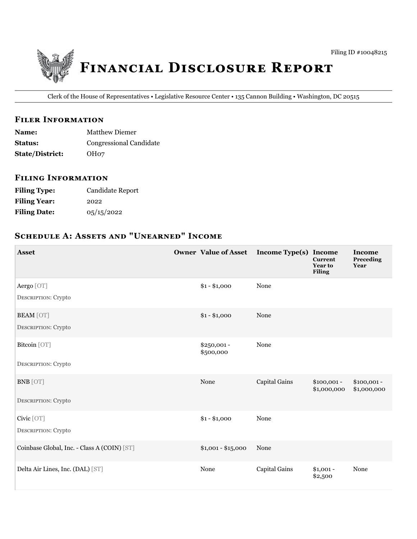

Clerk of the House of Representatives • Legislative Resource Center • 135 Cannon Building • Washington, DC 20515

#### **FILER INFORMATION**

| <b>Name:</b>           | <b>Matthew Diemer</b>          |
|------------------------|--------------------------------|
| <b>Status:</b>         | <b>Congressional Candidate</b> |
| <b>State/District:</b> | OH <sub>07</sub>               |

#### **FILING INFORMATION**

| <b>Filing Type:</b> | <b>Candidate Report</b> |
|---------------------|-------------------------|
| <b>Filing Year:</b> | 2022                    |
| <b>Filing Date:</b> | 05/15/2022              |

# SCHEDULE A: ASSETS AND "UNEARNED" INCOME

| <b>Asset</b>                                   | <b>Owner Value of Asset</b> | Income Type(s) Income | <b>Current</b><br><b>Year to</b><br><b>Filing</b> | <b>Income</b><br>Preceding<br>Year |
|------------------------------------------------|-----------------------------|-----------------------|---------------------------------------------------|------------------------------------|
| Aergo [OT]<br><b>DESCRIPTION: Crypto</b>       | $$1 - $1,000$               | None                  |                                                   |                                    |
| <b>BEAM</b> [OT]<br><b>DESCRIPTION: Crypto</b> | $$1 - $1,000$               | None                  |                                                   |                                    |
| Bitcoin [OT]                                   | $$250,001 -$<br>\$500,000   | None                  |                                                   |                                    |
| <b>DESCRIPTION: Crypto</b>                     |                             |                       |                                                   |                                    |
| <b>BNB</b> [OT]                                | None                        | Capital Gains         | $$100,001 -$<br>\$1,000,000                       | $$100,001 -$<br>\$1,000,000        |
| <b>DESCRIPTION: Crypto</b>                     |                             |                       |                                                   |                                    |
| Civic [OT]<br><b>DESCRIPTION: Crypto</b>       | $$1 - $1,000$               | None                  |                                                   |                                    |
| Coinbase Global, Inc. - Class A (COIN) [ST]    | $$1,001 - $15,000$          | None                  |                                                   |                                    |
| Delta Air Lines, Inc. (DAL) [ST]               | None                        | Capital Gains         | $$1,001 -$<br>\$2,500                             | None                               |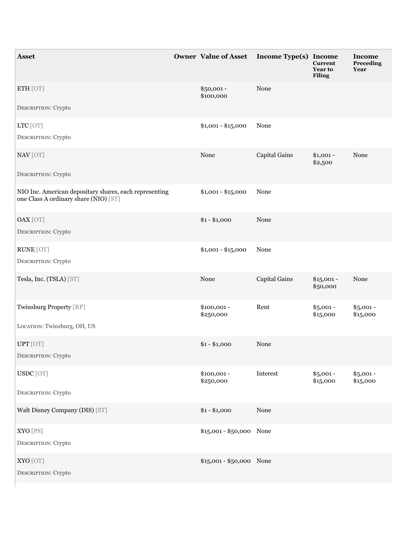| <b>Asset</b>                                                                                    | <b>Owner Value of Asset</b> | Income Type(s) Income | <b>Current</b><br>Year to<br><b>Filing</b> | <b>Income</b><br>Preceding<br>Year |
|-------------------------------------------------------------------------------------------------|-----------------------------|-----------------------|--------------------------------------------|------------------------------------|
| ETH [OT]<br>DESCRIPTION: Crypto                                                                 | \$50,001 -<br>\$100,000     | None                  |                                            |                                    |
|                                                                                                 |                             |                       |                                            |                                    |
| LTC [OT]                                                                                        | $$1,001 - $15,000$          | None                  |                                            |                                    |
| DESCRIPTION: Crypto                                                                             |                             |                       |                                            |                                    |
| NAV [OT]                                                                                        | None                        | Capital Gains         | $$1,001 -$<br>\$2,500                      | None                               |
| DESCRIPTION: Crypto                                                                             |                             |                       |                                            |                                    |
| NIO Inc. American depositary shares, each representing<br>one Class A ordinary share (NIO) [ST] | $$1,001 - $15,000$          | None                  |                                            |                                    |
| OAX [OT]                                                                                        | $$1 - $1,000$               | None                  |                                            |                                    |
| DESCRIPTION: Crypto                                                                             |                             |                       |                                            |                                    |
| <b>RUNE</b> [OT]                                                                                | $$1,001 - $15,000$          | None                  |                                            |                                    |
| DESCRIPTION: Crypto                                                                             |                             |                       |                                            |                                    |
|                                                                                                 |                             |                       |                                            |                                    |
| Tesla, Inc. (TSLA) [ST]                                                                         | None                        | Capital Gains         | $$15,001 -$<br>\$50,000                    | None                               |
| Twinsburg Property [RP]                                                                         | $$100,001 -$<br>\$250,000   | Rent                  | $$5,001 -$<br>\$15,000                     | $$5,001 -$<br>\$15,000             |
| LOCATION: Twinsburg, OH, US                                                                     |                             |                       |                                            |                                    |
| UPT [OT]                                                                                        | $$1 - $1,000$               | None                  |                                            |                                    |
| DESCRIPTION: Crypto                                                                             |                             |                       |                                            |                                    |
| USDC [OT]                                                                                       | $$100,001 -$<br>\$250,000   | Interest              | $$5,001 -$<br>\$15,000                     | $$5,001 -$<br>\$15,000             |
| DESCRIPTION: Crypto                                                                             |                             |                       |                                            |                                    |
| Walt Disney Company (DIS) [ST]                                                                  | $$1 - $1,000$               | None                  |                                            |                                    |
| XYO [PS]                                                                                        | \$15,001 - \$50,000 None    |                       |                                            |                                    |
| DESCRIPTION: Crypto                                                                             |                             |                       |                                            |                                    |
| XYO [OT]<br>DESCRIPTION: Crypto                                                                 | \$15,001 - \$50,000 None    |                       |                                            |                                    |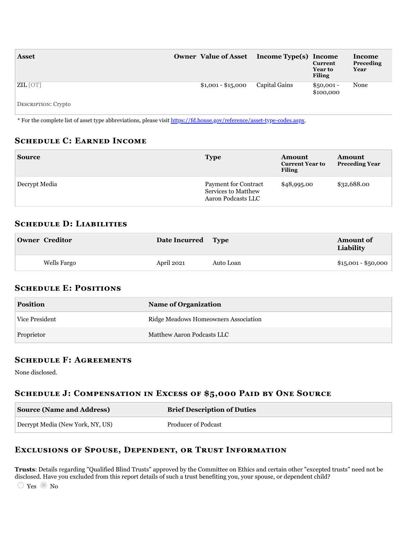| <b>Asset</b>                               | Owner Value of Asset Income Type(s) Income |               | <b>Current</b><br><b>Year to</b><br><b>Filing</b> | Income<br>Preceding<br>Year |
|--------------------------------------------|--------------------------------------------|---------------|---------------------------------------------------|-----------------------------|
| ZIL [OT]<br>$\sim$ $\sim$<br>$\sim$ $\sim$ | $$1,001 - $15,000$                         | Capital Gains | $$50,001 -$<br>\$100,000                          | None                        |

DESCRIPTION: Crypto

\* For the complete list of asset type abbreviations, please visit <https://fd.house.gov/reference/asset-type-codes.aspx>.

#### **SCHEDULE C: EARNED INCOME**

| <b>Source</b> | <b>Type</b>                                                       | Amount<br><b>Current Year to</b><br><b>Filing</b> | Amount<br><b>Preceding Year</b> |
|---------------|-------------------------------------------------------------------|---------------------------------------------------|---------------------------------|
| Decrypt Media | Payment for Contract<br>Services to Matthew<br>Aaron Podcasts LLC | \$48,995.00                                       | \$32,688.00                     |

### **SCHEDULE D: LIABILITIES**

| <b>Owner Creditor</b> | Date Incurred Type |           | <b>Amount of</b><br>Liability |
|-----------------------|--------------------|-----------|-------------------------------|
| Wells Fargo           | April 2021         | Auto Loan | $$15,001 - $50,000$           |

### **SCHEDULE E: POSITIONS**

| <b>Position</b> | <b>Name of Organization</b>          |
|-----------------|--------------------------------------|
| Vice President  | Ridge Meadows Homeowners Association |
| Proprietor      | Matthew Aaron Podcasts LLC           |

#### **SCHEDULE F: AGREEMENTS**

None disclosed.

## SCHEDULE J: COMPENSATION IN EXCESS OF \$5,000 PAID BY ONE SOURCE

| <b>Source (Name and Address)</b> | <b>Brief Description of Duties</b> |
|----------------------------------|------------------------------------|
| Decrypt Media (New York, NY, US) | Producer of Podcast                |

## EXCLUSIONS OF SPOUSE, DEPENDENT, OR TRUST INFORMATION

**Trusts**: Details regarding "Qualified Blind Trusts" approved by the Committee on Ethics and certain other "excepted trusts" need not be disclosed. Have you excluded from this report details of such a trust benefiting you, your spouse, or dependent child?

 $\bigcirc$  Yes  $\bigcirc$  No